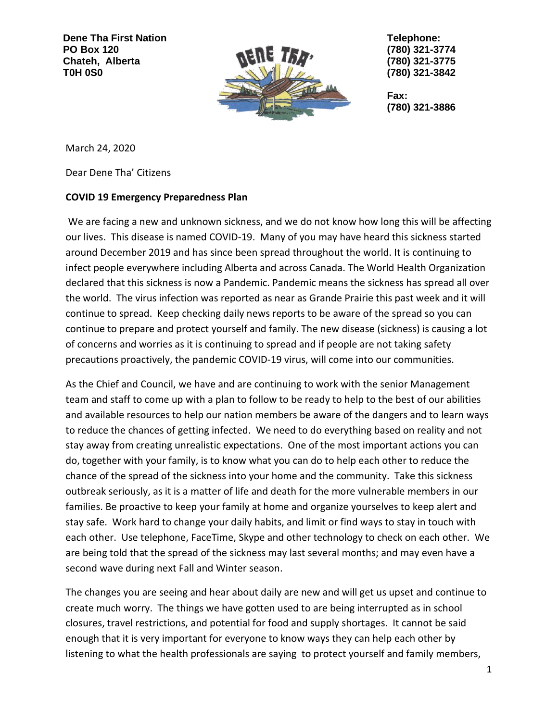**Dene Tha First Nation PO Box 120 Chateh, Alberta T0H 0S0**



**Telephone: (780) 321-3774 (780) 321-3775 (780) 321-3842**

**Fax: (780) 321-3886**

March 24, 2020

Dear Dene Tha' Citizens

## **COVID 19 Emergency Preparedness Plan**

We are facing a new and unknown sickness, and we do not know how long this will be affecting our lives. This disease is named COVID-19. Many of you may have heard this sickness started around December 2019 and has since been spread throughout the world. It is continuing to infect people everywhere including Alberta and across Canada. The World Health Organization declared that this sickness is now a Pandemic. Pandemic means the sickness has spread all over the world. The virus infection was reported as near as Grande Prairie this past week and it will continue to spread. Keep checking daily news reports to be aware of the spread so you can continue to prepare and protect yourself and family. The new disease (sickness) is causing a lot of concerns and worries as it is continuing to spread and if people are not taking safety precautions proactively, the pandemic COVID-19 virus, will come into our communities.

As the Chief and Council, we have and are continuing to work with the senior Management team and staff to come up with a plan to follow to be ready to help to the best of our abilities and available resources to help our nation members be aware of the dangers and to learn ways to reduce the chances of getting infected. We need to do everything based on reality and not stay away from creating unrealistic expectations. One of the most important actions you can do, together with your family, is to know what you can do to help each other to reduce the chance of the spread of the sickness into your home and the community. Take this sickness outbreak seriously, as it is a matter of life and death for the more vulnerable members in our families. Be proactive to keep your family at home and organize yourselves to keep alert and stay safe. Work hard to change your daily habits, and limit or find ways to stay in touch with each other. Use telephone, FaceTime, Skype and other technology to check on each other. We are being told that the spread of the sickness may last several months; and may even have a second wave during next Fall and Winter season.

The changes you are seeing and hear about daily are new and will get us upset and continue to create much worry. The things we have gotten used to are being interrupted as in school closures, travel restrictions, and potential for food and supply shortages. It cannot be said enough that it is very important for everyone to know ways they can help each other by listening to what the health professionals are saying to protect yourself and family members,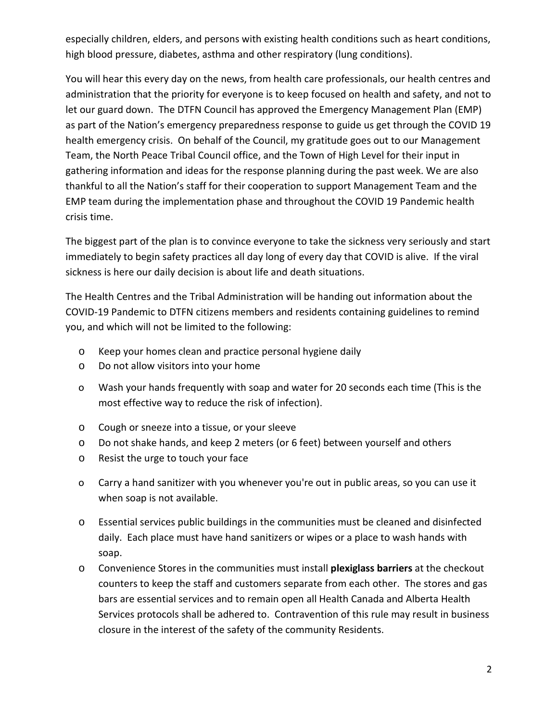especially children, elders, and persons with existing health conditions such as heart conditions, high blood pressure, diabetes, asthma and other respiratory (lung conditions).

You will hear this every day on the news, from health care professionals, our health centres and administration that the priority for everyone is to keep focused on health and safety, and not to let our guard down. The DTFN Council has approved the Emergency Management Plan (EMP) as part of the Nation's emergency preparedness response to guide us get through the COVID 19 health emergency crisis. On behalf of the Council, my gratitude goes out to our Management Team, the North Peace Tribal Council office, and the Town of High Level for their input in gathering information and ideas for the response planning during the past week. We are also thankful to all the Nation's staff for their cooperation to support Management Team and the EMP team during the implementation phase and throughout the COVID 19 Pandemic health crisis time.

The biggest part of the plan is to convince everyone to take the sickness very seriously and start immediately to begin safety practices all day long of every day that COVID is alive. If the viral sickness is here our daily decision is about life and death situations.

The Health Centres and the Tribal Administration will be handing out information about the COVID-19 Pandemic to DTFN citizens members and residents containing guidelines to remind you, and which will not be limited to the following:

- o Keep your homes clean and practice personal hygiene daily
- o Do not allow visitors into your home
- o Wash your hands frequently with soap and water for 20 seconds each time (This is the most effective way to reduce the risk of infection).
- o Cough or sneeze into a tissue, or your sleeve
- o Do not shake hands, and keep 2 meters (or 6 feet) between yourself and others
- o Resist the urge to touch your face
- o Carry a hand sanitizer with you whenever you're out in public areas, so you can use it when soap is not available.
- o Essential services public buildings in the communities must be cleaned and disinfected daily. Each place must have hand sanitizers or wipes or a place to wash hands with soap.
- o Convenience Stores in the communities must install **plexiglass barriers** at the checkout counters to keep the staff and customers separate from each other. The stores and gas bars are essential services and to remain open all Health Canada and Alberta Health Services protocols shall be adhered to. Contravention of this rule may result in business closure in the interest of the safety of the community Residents.